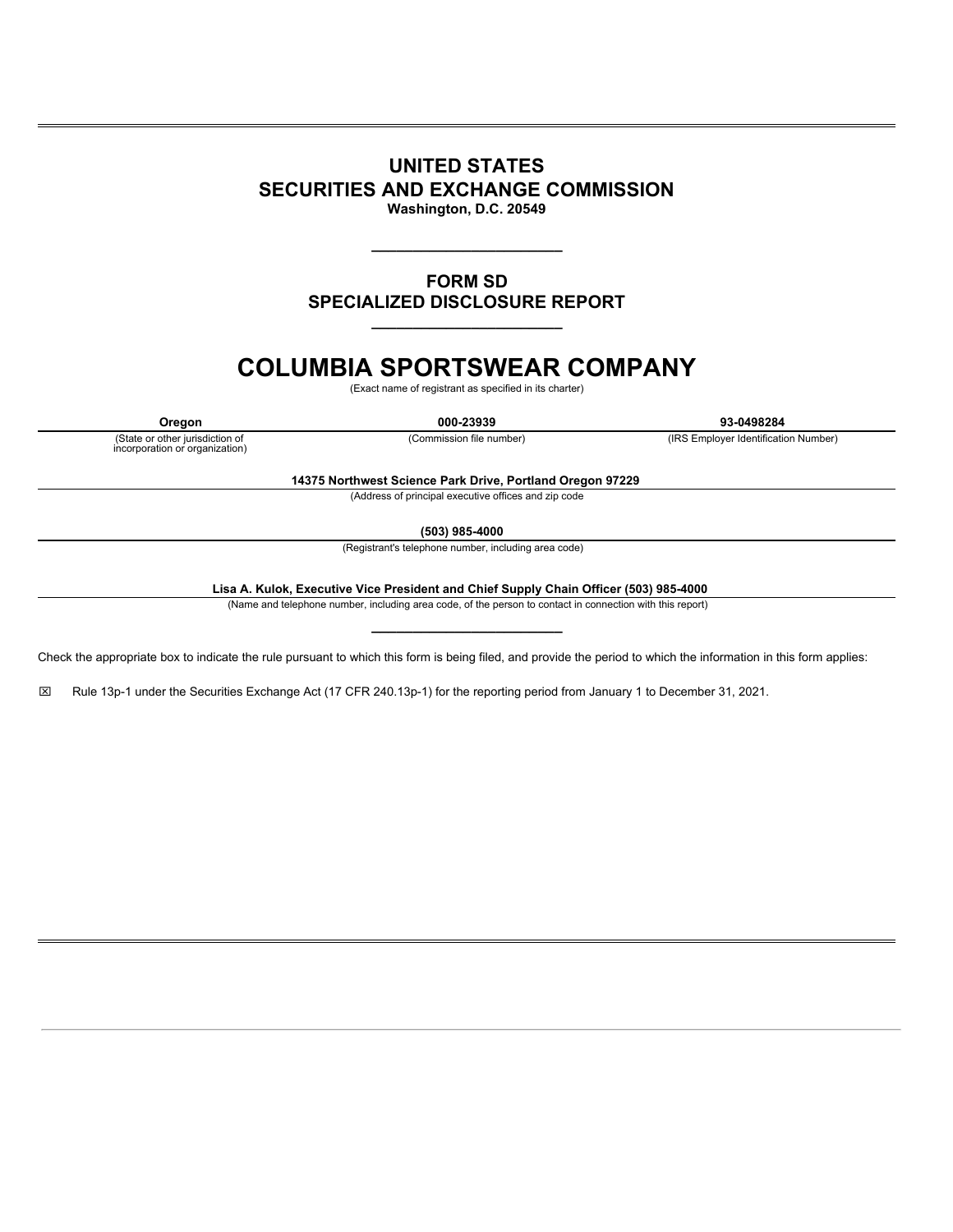# **UNITED STATES SECURITIES AND EXCHANGE COMMISSION**

**Washington, D.C. 20549**

**\_\_\_\_\_\_\_\_\_\_\_\_\_\_\_\_\_\_\_\_\_\_\_**

# **FORM SD SPECIALIZED DISCLOSURE REPORT \_\_\_\_\_\_\_\_\_\_\_\_\_\_\_\_\_\_\_\_\_\_\_**

# **COLUMBIA SPORTSWEAR COMPANY**

(Exact name of registrant as specified in its charter)

**Oregon 000-23939 93-0498284** (Commission file number) (IRS Employer Identification Number)

(State or other jurisdiction of incorporation or organization)

**14375 Northwest Science Park Drive, Portland Oregon 97229**

(Address of principal executive offices and zip code

**(503) 985-4000**

(Registrant's telephone number, including area code)

**Lisa A. Kulok, Executive Vice President and Chief Supply Chain Officer (503) 985-4000**

(Name and telephone number, including area code, of the person to contact in connection with this report)

**\_\_\_\_\_\_\_\_\_\_\_\_\_\_\_\_\_\_\_\_\_\_\_**

Check the appropriate box to indicate the rule pursuant to which this form is being filed, and provide the period to which the information in this form applies:

x Rule 13p-1 under the Securities Exchange Act (17 CFR 240.13p-1) for the reporting period from January 1 to December 31, 2021.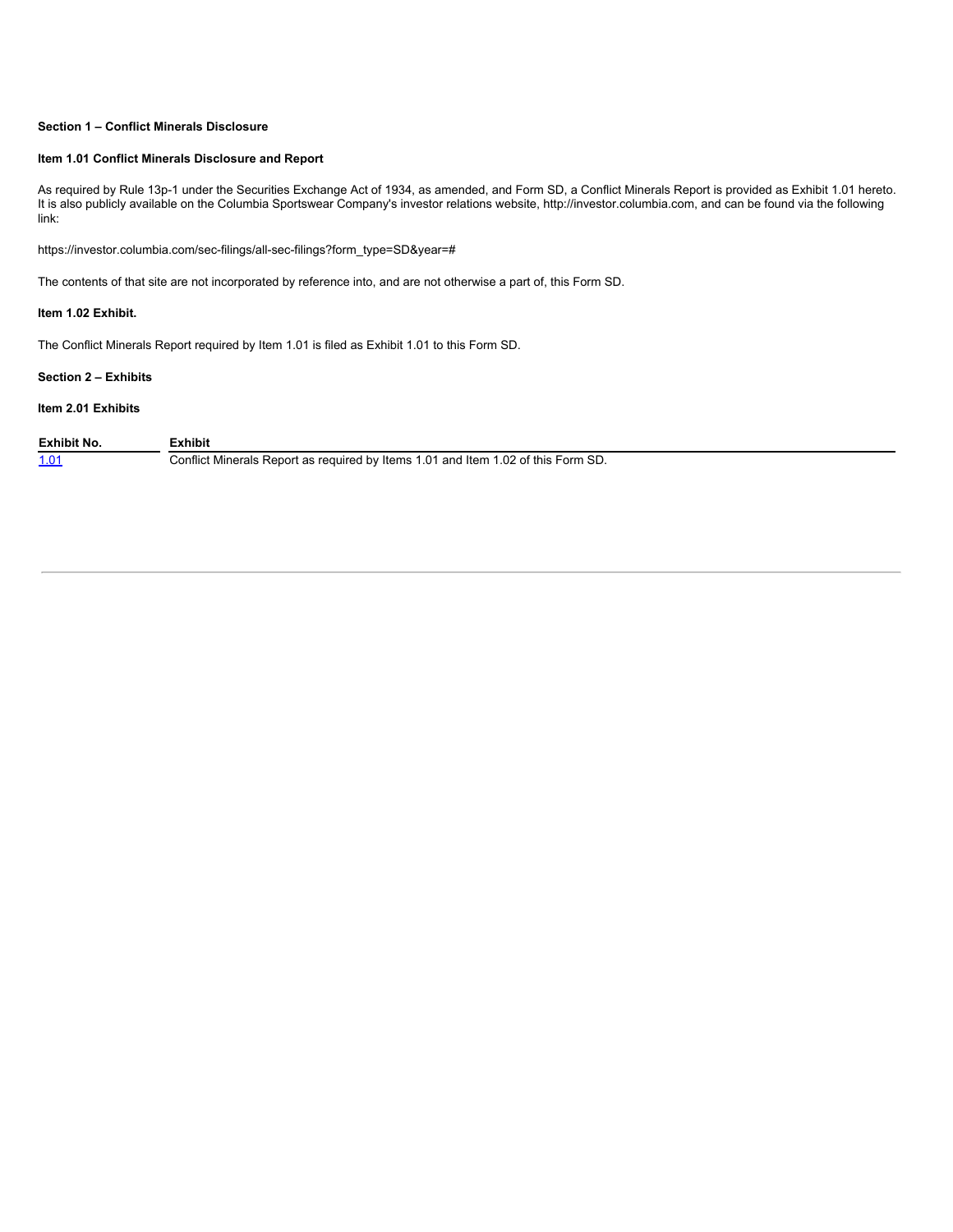## **Section 1 – Conflict Minerals Disclosure**

#### **Item 1.01 Conflict Minerals Disclosure and Report**

As required by Rule 13p-1 under the Securities Exchange Act of 1934, as amended, and Form SD, a Conflict Minerals Report is provided as Exhibit 1.01 hereto. It is also publicly available on the Columbia Sportswear Company's investor relations website, http://investor.columbia.com, and can be found via the following link:

https://investor.columbia.com/sec-filings/all-sec-filings?form\_type=SD&year=#

The contents of that site are not incorporated by reference into, and are not otherwise a part of, this Form SD.

## **Item 1.02 Exhibit.**

The Conflict Minerals Report required by Item 1.01 is filed as Exhibit 1.01 to this Form SD.

## **Section 2 – Exhibits**

# **Item 2.01 Exhibits**

| Exhibit No. | :xhibit                                                                           |
|-------------|-----------------------------------------------------------------------------------|
| 1.01        | Conflict Minerals Report as required by Items 1.01 and Item 1.02 of this Form SD. |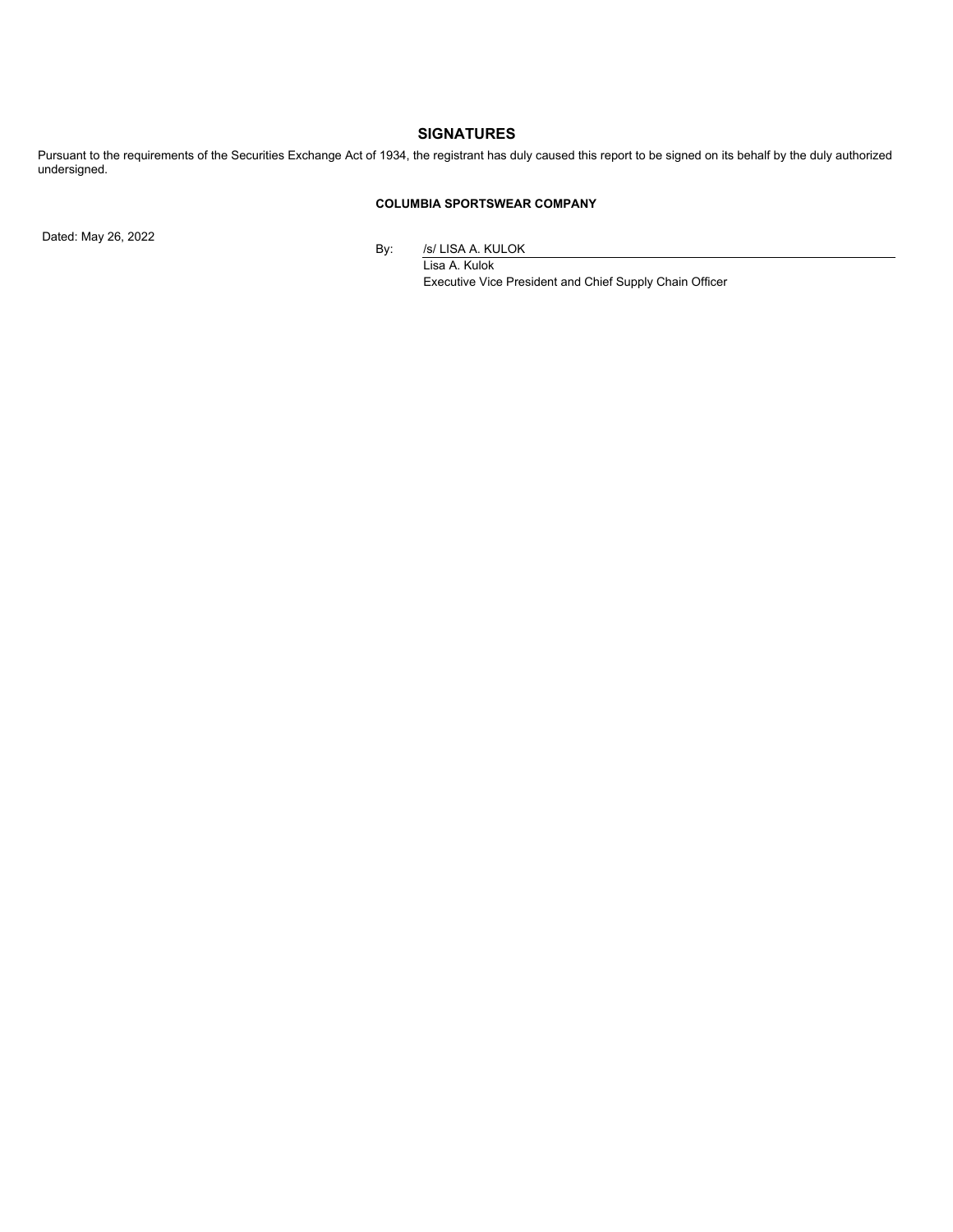# **SIGNATURES**

Pursuant to the requirements of the Securities Exchange Act of 1934, the registrant has duly caused this report to be signed on its behalf by the duly authorized undersigned.

# **COLUMBIA SPORTSWEAR COMPANY**

Dated: May 26, 2022

By: /s/ LISA A. KULOK

Lisa A. Kulok Executive Vice President and Chief Supply Chain Officer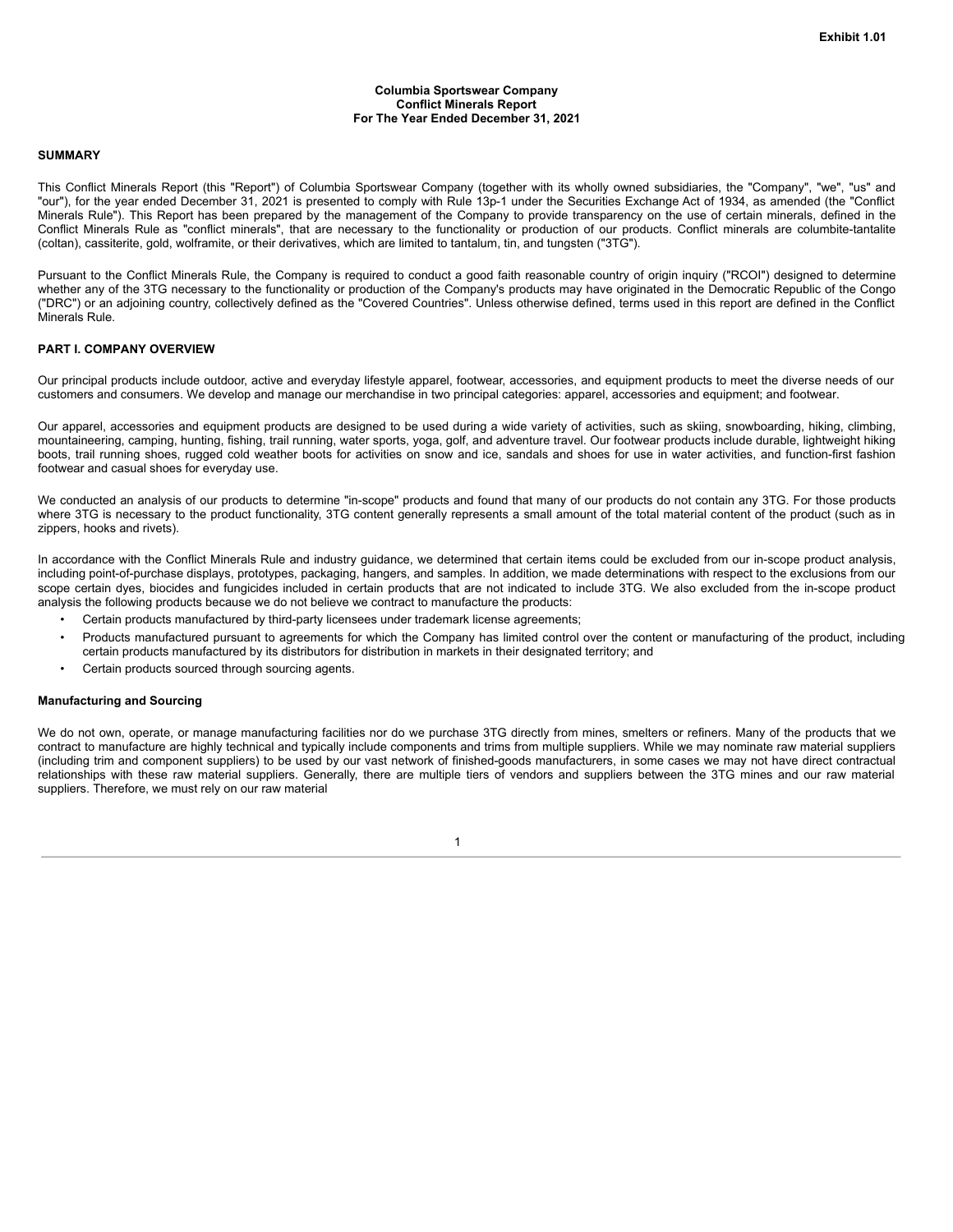#### **Columbia Sportswear Company Conflict Minerals Report For The Year Ended December 31, 2021**

#### **SUMMARY**

This Conflict Minerals Report (this "Report") of Columbia Sportswear Company (together with its wholly owned subsidiaries, the "Company", "we", "us" and "our"), for the year ended December 31, 2021 is presented to comply with Rule 13p-1 under the Securities Exchange Act of 1934, as amended (the "Conflict Minerals Rule"). This Report has been prepared by the management of the Company to provide transparency on the use of certain minerals, defined in the Conflict Minerals Rule as "conflict minerals", that are necessary to the functionality or production of our products. Conflict minerals are columbite-tantalite (coltan), cassiterite, gold, wolframite, or their derivatives, which are limited to tantalum, tin, and tungsten ("3TG").

Pursuant to the Conflict Minerals Rule, the Company is required to conduct a good faith reasonable country of origin inquiry ("RCOI") designed to determine whether any of the 3TG necessary to the functionality or production of the Company's products may have originated in the Democratic Republic of the Congo ("DRC") or an adjoining country, collectively defined as the "Covered Countries". Unless otherwise defined, terms used in this report are defined in the Conflict Minerals Rule.

#### **PART I. COMPANY OVERVIEW**

Our principal products include outdoor, active and everyday lifestyle apparel, footwear, accessories, and equipment products to meet the diverse needs of our customers and consumers. We develop and manage our merchandise in two principal categories: apparel, accessories and equipment; and footwear.

Our apparel, accessories and equipment products are designed to be used during a wide variety of activities, such as skiing, snowboarding, hiking, climbing, mountaineering, camping, hunting, fishing, trail running, water sports, yoga, golf, and adventure travel. Our footwear products include durable, lightweight hiking boots, trail running shoes, rugged cold weather boots for activities on snow and ice, sandals and shoes for use in water activities, and function-first fashion footwear and casual shoes for everyday use.

We conducted an analysis of our products to determine "in-scope" products and found that many of our products do not contain any 3TG. For those products where 3TG is necessary to the product functionality, 3TG content generally represents a small amount of the total material content of the product (such as in zippers, hooks and rivets).

In accordance with the Conflict Minerals Rule and industry guidance, we determined that certain items could be excluded from our in-scope product analysis, including point-of-purchase displays, prototypes, packaging, hangers, and samples. In addition, we made determinations with respect to the exclusions from our scope certain dyes, biocides and fungicides included in certain products that are not indicated to include 3TG. We also excluded from the in-scope product analysis the following products because we do not believe we contract to manufacture the products:

- Certain products manufactured by third-party licensees under trademark license agreements;
- Products manufactured pursuant to agreements for which the Company has limited control over the content or manufacturing of the product, including certain products manufactured by its distributors for distribution in markets in their designated territory; and
- Certain products sourced through sourcing agents.

#### **Manufacturing and Sourcing**

We do not own, operate, or manage manufacturing facilities nor do we purchase 3TG directly from mines, smelters or refiners. Many of the products that we contract to manufacture are highly technical and typically include components and trims from multiple suppliers. While we may nominate raw material suppliers (including trim and component suppliers) to be used by our vast network of finished-goods manufacturers, in some cases we may not have direct contractual relationships with these raw material suppliers. Generally, there are multiple tiers of vendors and suppliers between the 3TG mines and our raw material suppliers. Therefore, we must rely on our raw material

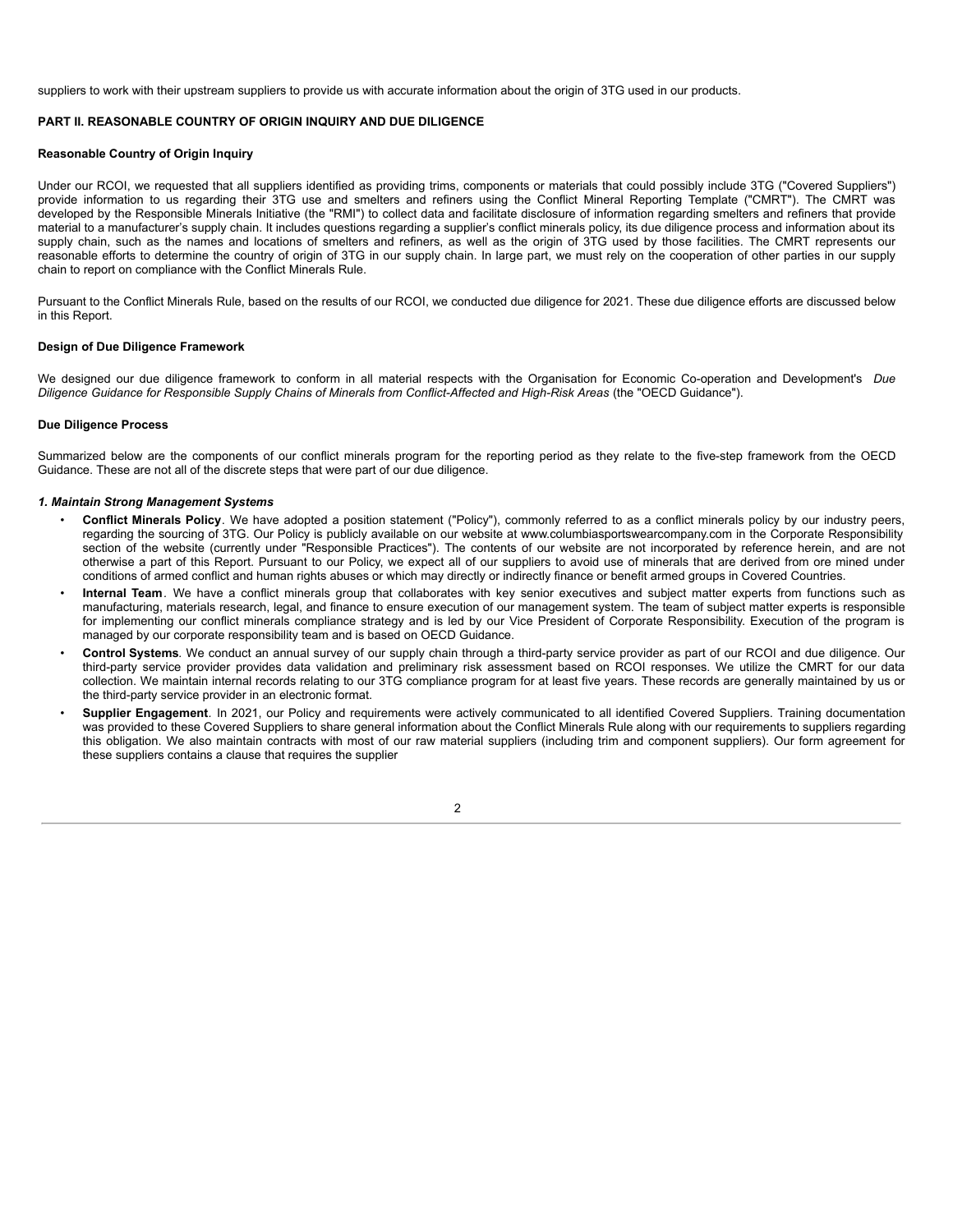suppliers to work with their upstream suppliers to provide us with accurate information about the origin of 3TG used in our products.

# **PART II. REASONABLE COUNTRY OF ORIGIN INQUIRY AND DUE DILIGENCE**

#### **Reasonable Country of Origin Inquiry**

Under our RCOI, we requested that all suppliers identified as providing trims, components or materials that could possibly include 3TG ("Covered Suppliers") provide information to us regarding their 3TG use and smelters and refiners using the Conflict Mineral Reporting Template ("CMRT"). The CMRT was developed by the Responsible Minerals Initiative (the "RMI") to collect data and facilitate disclosure of information regarding smelters and refiners that provide material to a manufacturer's supply chain. It includes questions regarding a supplier's conflict minerals policy, its due diligence process and information about its supply chain, such as the names and locations of smelters and refiners, as well as the origin of 3TG used by those facilities. The CMRT represents our reasonable efforts to determine the country of origin of 3TG in our supply chain. In large part, we must rely on the cooperation of other parties in our supply chain to report on compliance with the Conflict Minerals Rule.

Pursuant to the Conflict Minerals Rule, based on the results of our RCOI, we conducted due diligence for 2021. These due diligence efforts are discussed below in this Report.

#### **Design of Due Diligence Framework**

We designed our due diligence framework to conform in all material respects with the Organisation for Economic Co-operation and Development's *Due Diligence Guidance for Responsible Supply Chains of Minerals from Conflict-Affected and High-Risk Areas* (the "OECD Guidance").

#### **Due Diligence Process**

Summarized below are the components of our conflict minerals program for the reporting period as they relate to the five-step framework from the OECD Guidance. These are not all of the discrete steps that were part of our due diligence.

#### *1. Maintain Strong Management Systems*

- **Conflict Minerals Policy**. We have adopted a position statement ("Policy"), commonly referred to as a conflict minerals policy by our industry peers, regarding the sourcing of 3TG. Our Policy is publicly available on our website at www.columbiasportswearcompany.com in the Corporate Responsibility section of the website (currently under "Responsible Practices"). The contents of our website are not incorporated by reference herein, and are not otherwise a part of this Report. Pursuant to our Policy, we expect all of our suppliers to avoid use of minerals that are derived from ore mined under conditions of armed conflict and human rights abuses or which may directly or indirectly finance or benefit armed groups in Covered Countries.
- **Internal Team***.* We have a conflict minerals group that collaborates with key senior executives and subject matter experts from functions such as manufacturing, materials research, legal, and finance to ensure execution of our management system. The team of subject matter experts is responsible for implementing our conflict minerals compliance strategy and is led by our Vice President of Corporate Responsibility. Execution of the program is managed by our corporate responsibility team and is based on OECD Guidance.
- **Control Systems***.* We conduct an annual survey of our supply chain through a third-party service provider as part of our RCOI and due diligence. Our third-party service provider provides data validation and preliminary risk assessment based on RCOI responses. We utilize the CMRT for our data collection. We maintain internal records relating to our 3TG compliance program for at least five years. These records are generally maintained by us or the third-party service provider in an electronic format.
- **Supplier Engagement***.* In 2021, our Policy and requirements were actively communicated to all identified Covered Suppliers. Training documentation was provided to these Covered Suppliers to share general information about the Conflict Minerals Rule along with our requirements to suppliers regarding this obligation. We also maintain contracts with most of our raw material suppliers (including trim and component suppliers). Our form agreement for these suppliers contains a clause that requires the supplier

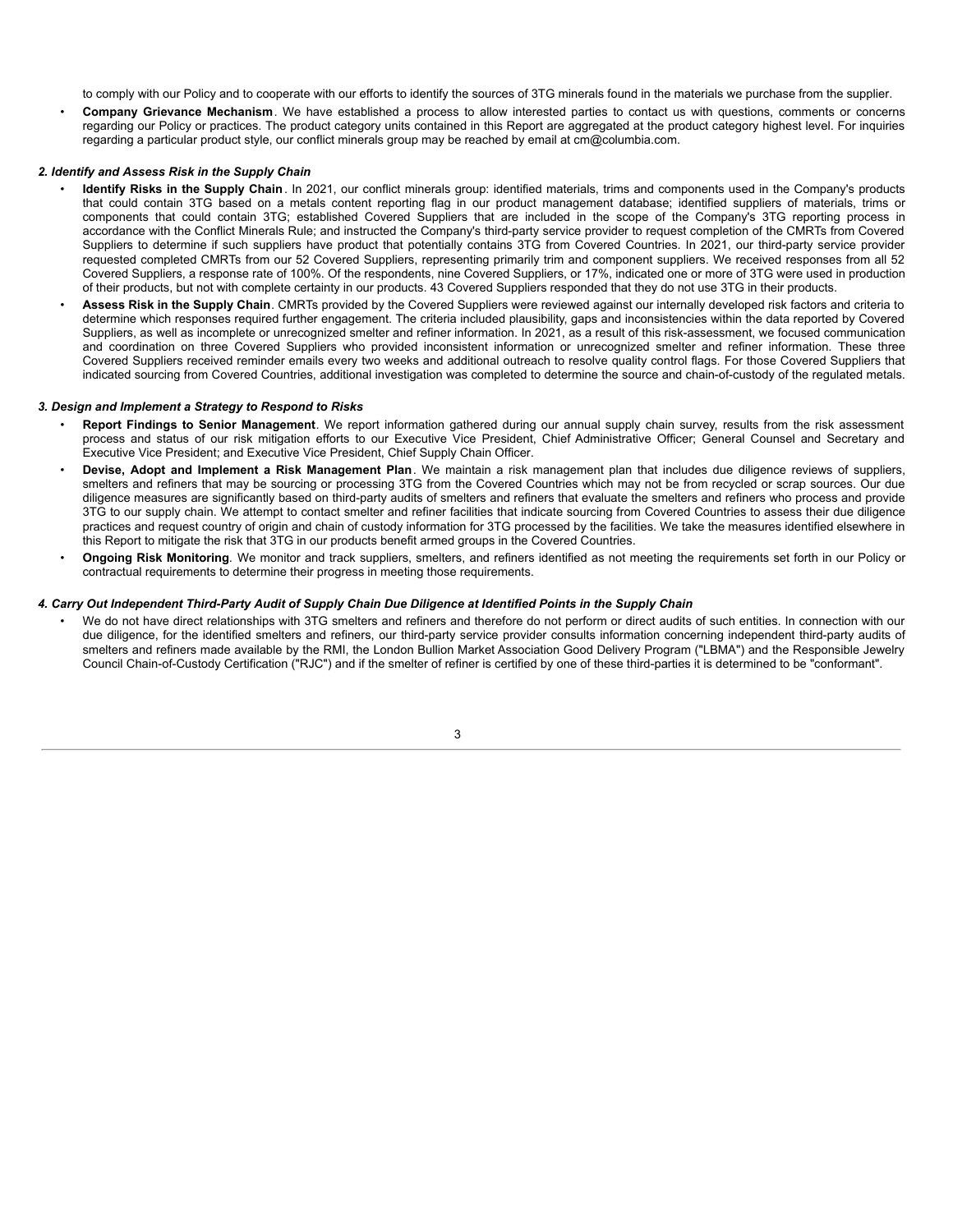to comply with our Policy and to cooperate with our efforts to identify the sources of 3TG minerals found in the materials we purchase from the supplier.

• **Company Grievance Mechanism**. We have established a process to allow interested parties to contact us with questions, comments or concerns regarding our Policy or practices. The product category units contained in this Report are aggregated at the product category highest level. For inquiries regarding a particular product style, our conflict minerals group may be reached by email at cm@columbia.com.

#### *2. Identify and Assess Risk in the Supply Chain*

- **Identify Risks in the Supply Chain**. In 2021, our conflict minerals group: identified materials, trims and components used in the Company's products that could contain 3TG based on a metals content reporting flag in our product management database; identified suppliers of materials, trims or components that could contain 3TG; established Covered Suppliers that are included in the scope of the Company's 3TG reporting process in accordance with the Conflict Minerals Rule; and instructed the Company's third-party service provider to request completion of the CMRTs from Covered Suppliers to determine if such suppliers have product that potentially contains 3TG from Covered Countries. In 2021, our third-party service provider requested completed CMRTs from our 52 Covered Suppliers, representing primarily trim and component suppliers. We received responses from all 52 Covered Suppliers, a response rate of 100%. Of the respondents, nine Covered Suppliers, or 17%, indicated one or more of 3TG were used in production of their products, but not with complete certainty in our products. 43 Covered Suppliers responded that they do not use 3TG in their products.
- **Assess Risk in the Supply Chain**. CMRTs provided by the Covered Suppliers were reviewed against our internally developed risk factors and criteria to determine which responses required further engagement. The criteria included plausibility, gaps and inconsistencies within the data reported by Covered Suppliers, as well as incomplete or unrecognized smelter and refiner information. In 2021, as a result of this risk-assessment, we focused communication and coordination on three Covered Suppliers who provided inconsistent information or unrecognized smelter and refiner information. These three Covered Suppliers received reminder emails every two weeks and additional outreach to resolve quality control flags. For those Covered Suppliers that indicated sourcing from Covered Countries, additional investigation was completed to determine the source and chain-of-custody of the regulated metals.

#### *3. Design and Implement a Strategy to Respond to Risks*

- **Report Findings to Senior Management**. We report information gathered during our annual supply chain survey, results from the risk assessment process and status of our risk mitigation efforts to our Executive Vice President, Chief Administrative Officer; General Counsel and Secretary and Executive Vice President; and Executive Vice President, Chief Supply Chain Officer.
- **Devise, Adopt and Implement a Risk Management Plan**. We maintain a risk management plan that includes due diligence reviews of suppliers, smelters and refiners that may be sourcing or processing 3TG from the Covered Countries which may not be from recycled or scrap sources. Our due diligence measures are significantly based on third-party audits of smelters and refiners that evaluate the smelters and refiners who process and provide 3TG to our supply chain. We attempt to contact smelter and refiner facilities that indicate sourcing from Covered Countries to assess their due diligence practices and request country of origin and chain of custody information for 3TG processed by the facilities. We take the measures identified elsewhere in this Report to mitigate the risk that 3TG in our products benefit armed groups in the Covered Countries.
- **Ongoing Risk Monitoring**. We monitor and track suppliers, smelters, and refiners identified as not meeting the requirements set forth in our Policy or contractual requirements to determine their progress in meeting those requirements.

#### 4. Carry Out Independent Third-Party Audit of Supply Chain Due Diligence at Identified Points in the Supply Chain

We do not have direct relationships with 3TG smelters and refiners and therefore do not perform or direct audits of such entities. In connection with our due diligence, for the identified smelters and refiners, our third-party service provider consults information concerning independent third-party audits of smelters and refiners made available by the RMI, the London Bullion Market Association Good Delivery Program ("LBMA") and the Responsible Jewelry Council Chain-of-Custody Certification ("RJC") and if the smelter of refiner is certified by one of these third-parties it is determined to be "conformant".

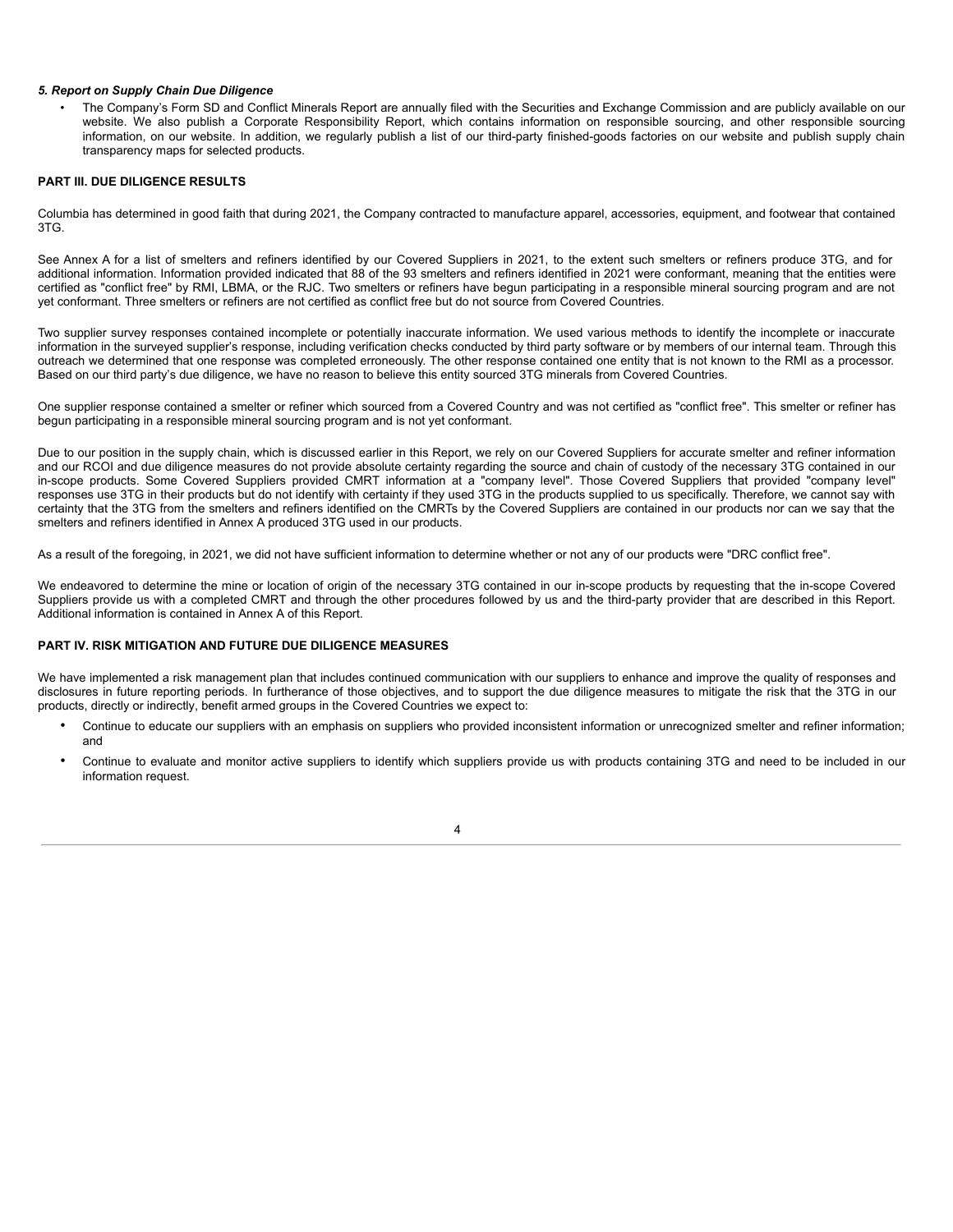#### <span id="page-6-0"></span>*5. Report on Supply Chain Due Diligence*

• The Company's Form SD and Conflict Minerals Report are annually filed with the Securities and Exchange Commission and are publicly available on our website. We also publish a Corporate Responsibility Report, which contains information on responsible sourcing, and other responsible sourcing information, on our website. In addition, we regularly publish a list of our third-party finished-goods factories on our website and publish supply chain transparency maps for selected products.

## **PART III. DUE DILIGENCE RESULTS**

Columbia has determined in good faith that during 2021, the Company contracted to manufacture apparel, accessories, equipment, and footwear that contained 3TG.

See Annex A for a list of smelters and refiners identified by our Covered Suppliers in 2021, to the extent such smelters or refiners produce 3TG, and for additional information. Information provided indicated that 88 of the 93 smelters and refiners identified in 2021 were conformant, meaning that the entities were certified as "conflict free" by RMI, LBMA, or the RJC. Two smelters or refiners have begun participating in a responsible mineral sourcing program and are not yet conformant. Three smelters or refiners are not certified as conflict free but do not source from Covered Countries.

Two supplier survey responses contained incomplete or potentially inaccurate information. We used various methods to identify the incomplete or inaccurate information in the surveyed supplier's response, including verification checks conducted by third party software or by members of our internal team. Through this outreach we determined that one response was completed erroneously. The other response contained one entity that is not known to the RMI as a processor. Based on our third party's due diligence, we have no reason to believe this entity sourced 3TG minerals from Covered Countries.

One supplier response contained a smelter or refiner which sourced from a Covered Country and was not certified as "conflict free". This smelter or refiner has begun participating in a responsible mineral sourcing program and is not yet conformant.

Due to our position in the supply chain, which is discussed earlier in this Report, we rely on our Covered Suppliers for accurate smelter and refiner information and our RCOI and due diligence measures do not provide absolute certainty regarding the source and chain of custody of the necessary 3TG contained in our in-scope products. Some Covered Suppliers provided CMRT information at a "company level". Those Covered Suppliers that provided "company level" responses use 3TG in their products but do not identify with certainty if they used 3TG in the products supplied to us specifically. Therefore, we cannot say with certainty that the 3TG from the smelters and refiners identified on the CMRTs by the Covered Suppliers are contained in our products nor can we say that the smelters and refiners identified in Annex A produced 3TG used in our products.

As a result of the foregoing, in 2021, we did not have sufficient information to determine whether or not any of our products were "DRC conflict free".

We endeavored to determine the mine or location of origin of the necessary 3TG contained in our in-scope products by requesting that the in-scope Covered Suppliers provide us with a completed CMRT and through the other procedures followed by us and the third-party provider that are described in this Report. Additional information is contained in Annex A of this Report.

#### **PART IV. RISK MITIGATION AND FUTURE DUE DILIGENCE MEASURES**

We have implemented a risk management plan that includes continued communication with our suppliers to enhance and improve the quality of responses and disclosures in future reporting periods. In furtherance of those objectives, and to support the due diligence measures to mitigate the risk that the 3TG in our products, directly or indirectly, benefit armed groups in the Covered Countries we expect to:

- Continue to educate our suppliers with an emphasis on suppliers who provided inconsistent information or unrecognized smelter and refiner information; and
- Continue to evaluate and monitor active suppliers to identify which suppliers provide us with products containing 3TG and need to be included in our information request.

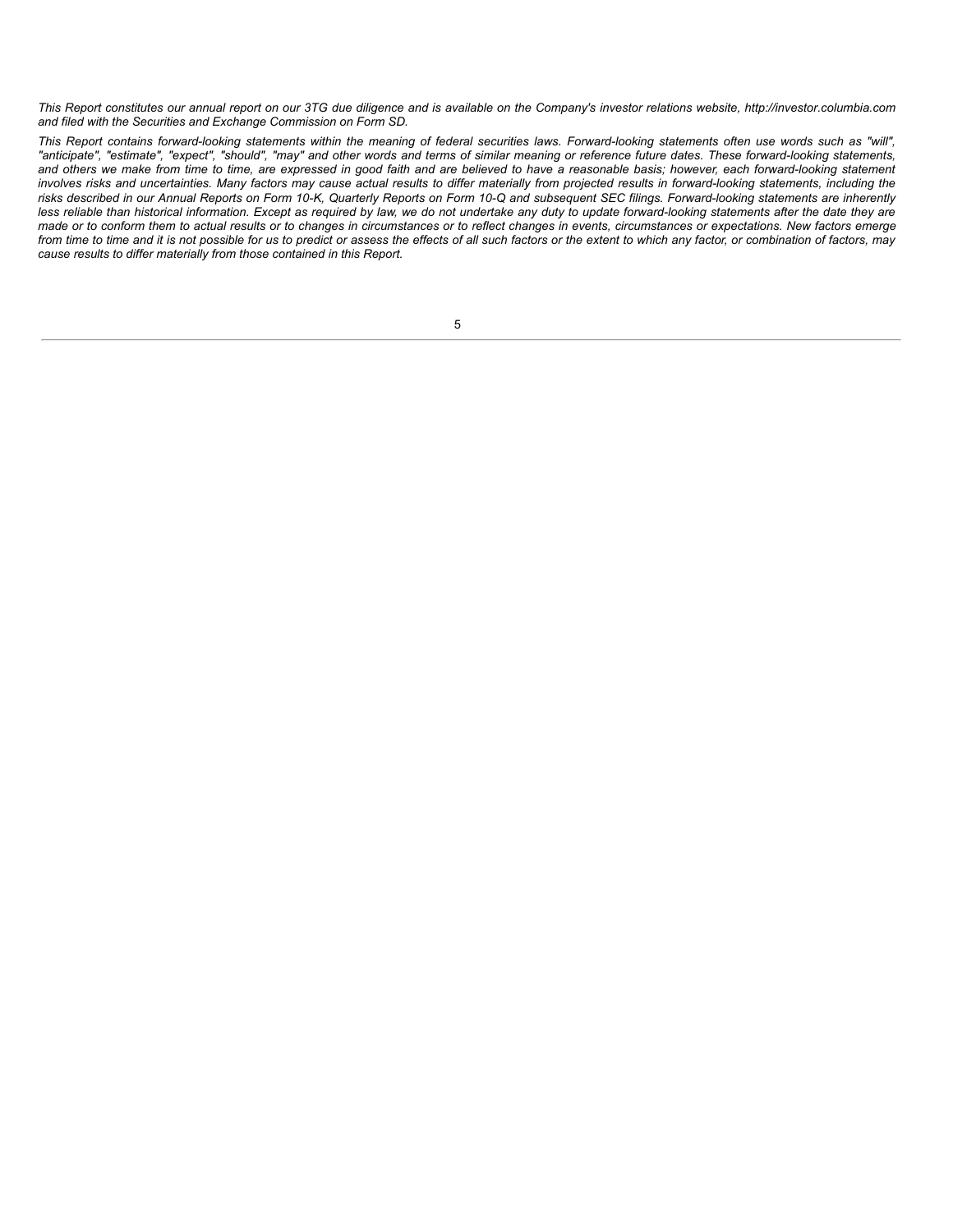This Report constitutes our annual report on our 3TG due diligence and is available on the Company's investor relations website, http://investor.columbia.com *and filed with the Securities and Exchange Commission on Form SD.*

This Report contains forward-looking statements within the meaning of federal securities laws. Forward-looking statements often use words such as "will", "anticipate", "estimate", "expect", "should", "may" and other words and terms of similar meaning or reference future dates. These forward-looking statements, and others we make from time to time, are expressed in good faith and are believed to have a reasonable basis; however, each forward-looking statement involves risks and uncertainties. Many factors may cause actual results to differ materially from projected results in forward-looking statements, including the risks described in our Annual Reports on Form 10-K, Quarterly Reports on Form 10-Q and subsequent SEC filings. Forward-looking statements are inherently less reliable than historical information. Except as required by law, we do not undertake any duty to update forward-looking statements after the date they are made or to conform them to actual results or to changes in circumstances or to reflect changes in events, circumstances or expectations. New factors emerge from time to time and it is not possible for us to predict or assess the effects of all such factors or the extent to which any factor, or combination of factors, may *cause results to differ materially from those contained in this Report.*

| I |
|---|
| I |
|   |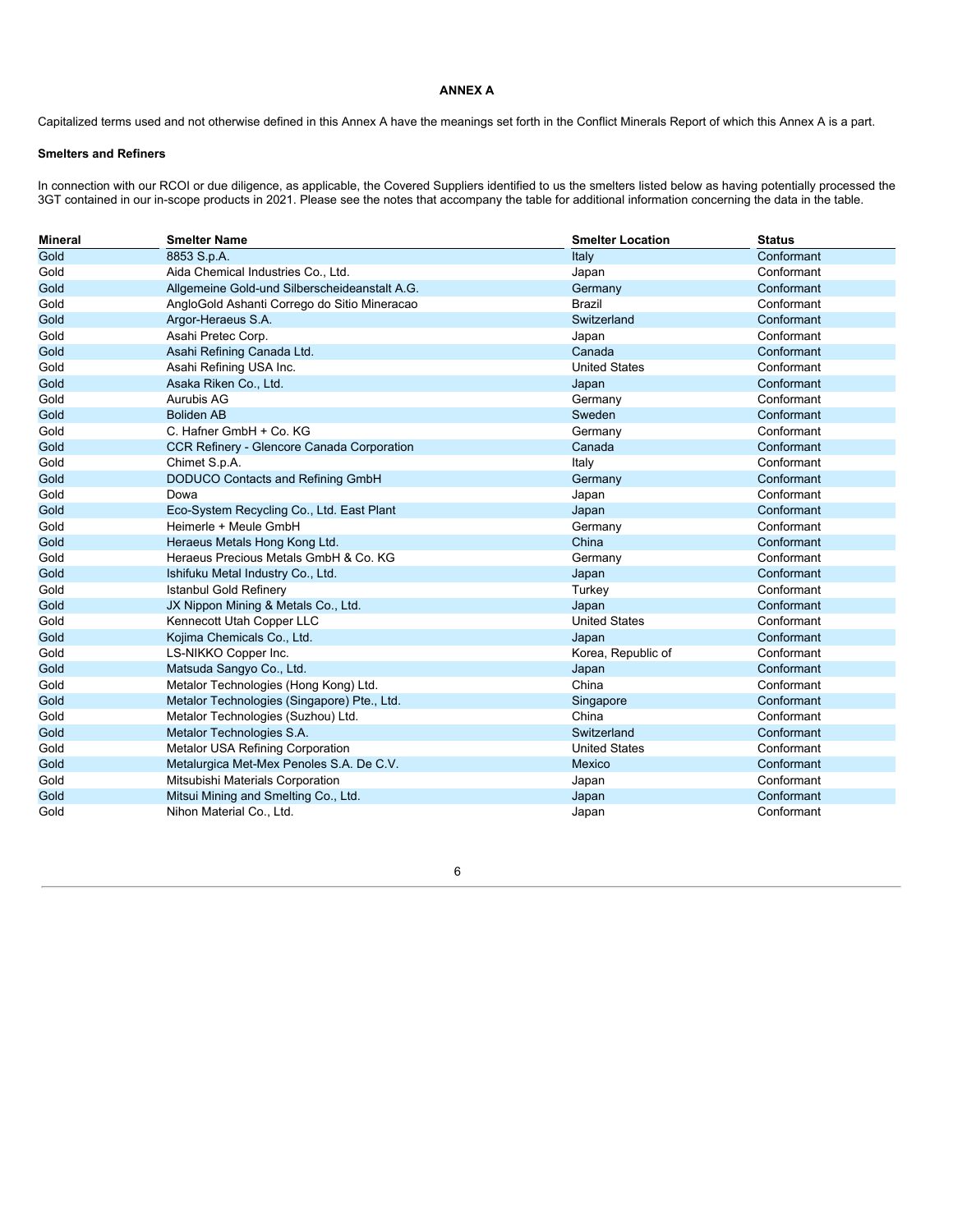## **ANNEX A**

Capitalized terms used and not otherwise defined in this Annex A have the meanings set forth in the Conflict Minerals Report of which this Annex A is a part.

# **Smelters and Refiners**

In connection with our RCOI or due diligence, as applicable, the Covered Suppliers identified to us the smelters listed below as having potentially processed the 3GT contained in our in-scope products in 2021. Please see the notes that accompany the table for additional information concerning the data in the table.

| <b>Mineral</b> | <b>Smelter Name</b>                           | <b>Smelter Location</b> | <b>Status</b> |
|----------------|-----------------------------------------------|-------------------------|---------------|
| Gold           | 8853 S.p.A.                                   | Italy                   | Conformant    |
| Gold           | Aida Chemical Industries Co., Ltd.            | Japan                   | Conformant    |
| Gold           | Allgemeine Gold-und Silberscheideanstalt A.G. | Germany                 | Conformant    |
| Gold           | AngloGold Ashanti Corrego do Sitio Mineracao  | <b>Brazil</b>           | Conformant    |
| Gold           | Argor-Heraeus S.A.                            | Switzerland             | Conformant    |
| Gold           | Asahi Pretec Corp.                            | Japan                   | Conformant    |
| Gold           | Asahi Refining Canada Ltd.                    | Canada                  | Conformant    |
| Gold           | Asahi Refining USA Inc.                       | <b>United States</b>    | Conformant    |
| Gold           | Asaka Riken Co., Ltd.                         | Japan                   | Conformant    |
| Gold           | Aurubis AG                                    | Germany                 | Conformant    |
| Gold           | <b>Boliden AB</b>                             | Sweden                  | Conformant    |
| Gold           | C. Hafner GmbH + Co. KG                       | Germany                 | Conformant    |
| Gold           | CCR Refinery - Glencore Canada Corporation    | Canada                  | Conformant    |
| Gold           | Chimet S.p.A.                                 | Italy                   | Conformant    |
| Gold           | DODUCO Contacts and Refining GmbH             | Germany                 | Conformant    |
| Gold           | Dowa                                          | Japan                   | Conformant    |
| Gold           | Eco-System Recycling Co., Ltd. East Plant     | Japan                   | Conformant    |
| Gold           | Heimerle + Meule GmbH                         | Germany                 | Conformant    |
| Gold           | Heraeus Metals Hong Kong Ltd.                 | China                   | Conformant    |
| Gold           | Heraeus Precious Metals GmbH & Co. KG         | Germany                 | Conformant    |
| Gold           | Ishifuku Metal Industry Co., Ltd.             | Japan                   | Conformant    |
| Gold           | <b>Istanbul Gold Refinery</b>                 | Turkey                  | Conformant    |
| Gold           | JX Nippon Mining & Metals Co., Ltd.           | Japan                   | Conformant    |
| Gold           | Kennecott Utah Copper LLC                     | <b>United States</b>    | Conformant    |
| Gold           | Kojima Chemicals Co., Ltd.                    | Japan                   | Conformant    |
| Gold           | LS-NIKKO Copper Inc.                          | Korea, Republic of      | Conformant    |
| Gold           | Matsuda Sangyo Co., Ltd.                      | Japan                   | Conformant    |
| Gold           | Metalor Technologies (Hong Kong) Ltd.         | China                   | Conformant    |
| Gold           | Metalor Technologies (Singapore) Pte., Ltd.   | Singapore               | Conformant    |
| Gold           | Metalor Technologies (Suzhou) Ltd.            | China                   | Conformant    |
| Gold           | Metalor Technologies S.A.                     | Switzerland             | Conformant    |
| Gold           | <b>Metalor USA Refining Corporation</b>       | <b>United States</b>    | Conformant    |
| Gold           | Metalurgica Met-Mex Penoles S.A. De C.V.      | <b>Mexico</b>           | Conformant    |
| Gold           | Mitsubishi Materials Corporation              | Japan                   | Conformant    |
| Gold           | Mitsui Mining and Smelting Co., Ltd.          | Japan                   | Conformant    |
| Gold           | Nihon Material Co., Ltd.                      | Japan                   | Conformant    |

6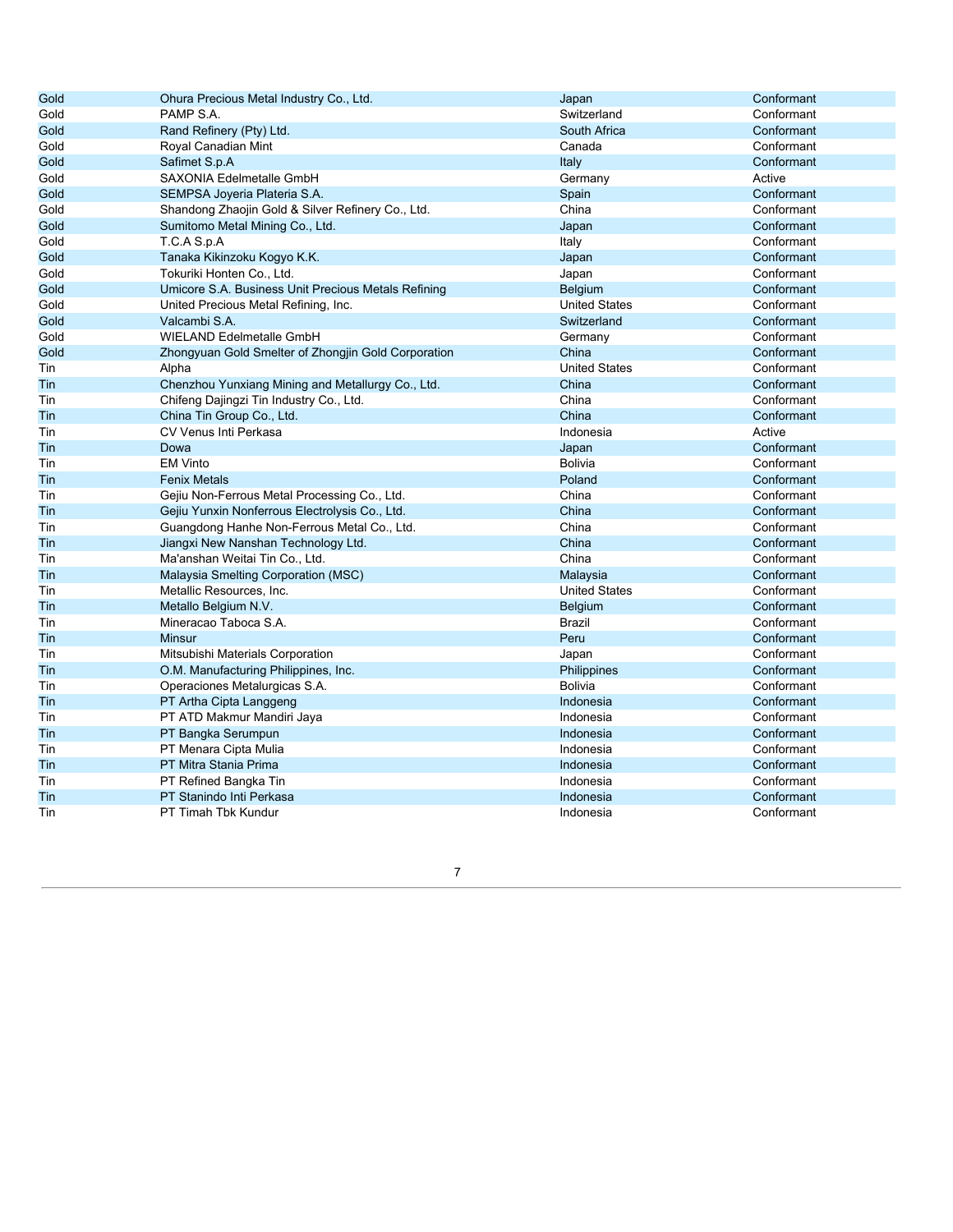| Gold | Ohura Precious Metal Industry Co., Ltd.             | Japan                | Conformant |
|------|-----------------------------------------------------|----------------------|------------|
| Gold | PAMP S.A.                                           | Switzerland          | Conformant |
| Gold | Rand Refinery (Pty) Ltd.                            | South Africa         | Conformant |
| Gold | Royal Canadian Mint                                 | Canada               | Conformant |
| Gold | Safimet S.p.A                                       | Italy                | Conformant |
| Gold | SAXONIA Edelmetalle GmbH                            | Germany              | Active     |
| Gold | SEMPSA Joyeria Plateria S.A.                        | Spain                | Conformant |
| Gold | Shandong Zhaojin Gold & Silver Refinery Co., Ltd.   | China                | Conformant |
| Gold | Sumitomo Metal Mining Co., Ltd.                     | Japan                | Conformant |
| Gold | T.C.A S.p.A                                         | Italy                | Conformant |
| Gold | Tanaka Kikinzoku Kogyo K.K.                         | Japan                | Conformant |
| Gold | Tokuriki Honten Co., Ltd.                           | Japan                | Conformant |
| Gold | Umicore S.A. Business Unit Precious Metals Refining | Belgium              | Conformant |
| Gold | United Precious Metal Refining, Inc.                | <b>United States</b> | Conformant |
| Gold | Valcambi S.A.                                       | Switzerland          | Conformant |
| Gold | <b>WIELAND Edelmetalle GmbH</b>                     | Germany              | Conformant |
| Gold | Zhongyuan Gold Smelter of Zhongjin Gold Corporation | China                | Conformant |
| Tin  | Alpha                                               | <b>United States</b> | Conformant |
| Tin  | Chenzhou Yunxiang Mining and Metallurgy Co., Ltd.   | China                | Conformant |
| Tin  | Chifeng Dajingzi Tin Industry Co., Ltd.             | China                | Conformant |
| Tin  | China Tin Group Co., Ltd.                           | China                | Conformant |
| Tin  | CV Venus Inti Perkasa                               | Indonesia            | Active     |
| Tin  | Dowa                                                | Japan                | Conformant |
| Tin  | <b>EM Vinto</b>                                     | <b>Bolivia</b>       | Conformant |
| Tin  | <b>Fenix Metals</b>                                 | Poland               | Conformant |
| Tin  | Gejiu Non-Ferrous Metal Processing Co., Ltd.        | China                | Conformant |
| Tin  | Gejiu Yunxin Nonferrous Electrolysis Co., Ltd.      | China                | Conformant |
| Tin  | Guangdong Hanhe Non-Ferrous Metal Co., Ltd.         | China                | Conformant |
| Tin  | Jiangxi New Nanshan Technology Ltd.                 | China                | Conformant |
| Tin  | Ma'anshan Weitai Tin Co., Ltd.                      | China                | Conformant |
| Tin  | Malaysia Smelting Corporation (MSC)                 | Malaysia             | Conformant |
| Tin  | Metallic Resources, Inc.                            | <b>United States</b> | Conformant |
| Tin  | Metallo Belgium N.V.                                | Belgium              | Conformant |
| Tin  | Mineracao Taboca S.A.                               | Brazil               | Conformant |
| Tin  | Minsur                                              | Peru                 | Conformant |
| Tin  | Mitsubishi Materials Corporation                    | Japan                | Conformant |
| Tin  | O.M. Manufacturing Philippines, Inc.                | Philippines          | Conformant |
| Tin  | Operaciones Metalurgicas S.A.                       | <b>Bolivia</b>       | Conformant |
| Tin  | PT Artha Cipta Langgeng                             | Indonesia            | Conformant |
| Tin  | PT ATD Makmur Mandiri Jaya                          | Indonesia            | Conformant |
| Tin  | PT Bangka Serumpun                                  | Indonesia            | Conformant |
| Tin  | PT Menara Cipta Mulia                               | Indonesia            | Conformant |
| Tin  | PT Mitra Stania Prima                               | Indonesia            | Conformant |
| Tin  | PT Refined Bangka Tin                               | Indonesia            | Conformant |
| Tin  | PT Stanindo Inti Perkasa                            | Indonesia            | Conformant |
| Tin  | PT Timah Tbk Kundur                                 | Indonesia            | Conformant |

7